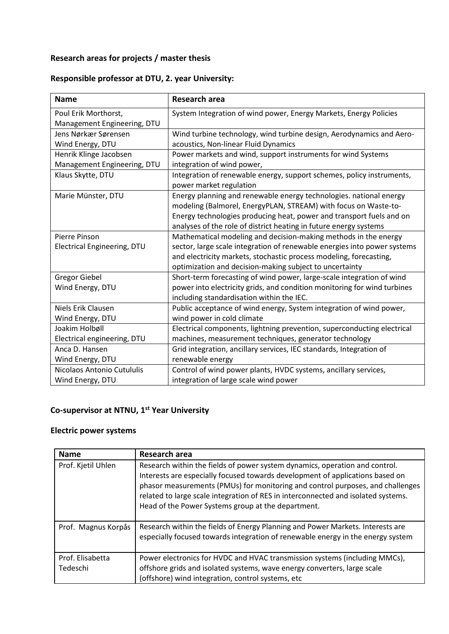# **Research areas for projects / master thesis**

### **Responsible professor at DTU, 2. year University:**

| <b>Name</b>                 | Research area                                                                                                                         |
|-----------------------------|---------------------------------------------------------------------------------------------------------------------------------------|
| Poul Erik Morthorst,        | System Integration of wind power, Energy Markets, Energy Policies                                                                     |
| Management Engineering, DTU |                                                                                                                                       |
| Jens Nørkær Sørensen        | Wind turbine technology, wind turbine design, Aerodynamics and Aero-                                                                  |
| Wind Energy, DTU            | acoustics, Non-linear Fluid Dynamics                                                                                                  |
| Henrik Klinge Jacobsen      | Power markets and wind, support instruments for wind Systems                                                                          |
| Management Engineering, DTU | integration of wind power,                                                                                                            |
| Klaus Skytte, DTU           | Integration of renewable energy, support schemes, policy instruments,<br>power market regulation                                      |
| Marie Münster, DTU          | Energy planning and renewable energy technologies. national energy<br>modeling (Balmorel, EnergyPLAN, STREAM) with focus on Waste-to- |
|                             | Energy technologies producing heat, power and transport fuels and on                                                                  |
|                             | analyses of the role of district heating in future energy systems                                                                     |
| Pierre Pinson               | Mathematical modeling and decision-making methods in the energy                                                                       |
| Electrical Engineering, DTU | sector, large scale integration of renewable energies into power systems                                                              |
|                             | and electricity markets, stochastic process modeling, forecasting,                                                                    |
|                             | optimization and decision-making subject to uncertainty                                                                               |
| <b>Gregor Giebel</b>        | Short-term forecasting of wind power, large-scale integration of wind                                                                 |
| Wind Energy, DTU            | power into electricity grids, and condition monitoring for wind turbines<br>including standardisation within the IEC.                 |
| Niels Erik Clausen          | Public acceptance of wind energy, System integration of wind power,                                                                   |
| Wind Energy, DTU            | wind power in cold climate                                                                                                            |
| Joakim Holbøll              | Electrical components, lightning prevention, superconducting electrical                                                               |
| Electrical engineering, DTU | machines, measurement techniques, generator technology                                                                                |
| Anca D. Hansen              | Grid integration, ancillary services, IEC standards, Integration of                                                                   |
| Wind Energy, DTU            | renewable energy                                                                                                                      |
| Nicolaos Antonio Cutululis  | Control of wind power plants, HVDC systems, ancillary services,                                                                       |
| Wind Energy, DTU            | integration of large scale wind power                                                                                                 |

#### **Co-supervisor at NTNU, 1 st Year University**

## **Electric power systems**

| <b>Name</b>         | Research area                                                                                                                                                                                                                                                                                                                                                                             |
|---------------------|-------------------------------------------------------------------------------------------------------------------------------------------------------------------------------------------------------------------------------------------------------------------------------------------------------------------------------------------------------------------------------------------|
| Prof. Kjetil Uhlen  | Research within the fields of power system dynamics, operation and control.<br>Interests are especially focused towards development of applications based on<br>phasor measurements (PMUs) for monitoring and control purposes, and challenges<br>related to large scale integration of RES in interconnected and isolated systems.<br>Head of the Power Systems group at the department. |
| Prof. Magnus Korpås | Research within the fields of Energy Planning and Power Markets. Interests are<br>especially focused towards integration of renewable energy in the energy system                                                                                                                                                                                                                         |
| Prof. Elisabetta    | Power electronics for HVDC and HVAC transmission systems (including MMCs),                                                                                                                                                                                                                                                                                                                |
| Tedeschi            | offshore grids and isolated systems, wave energy converters, large scale                                                                                                                                                                                                                                                                                                                  |
|                     | (offshore) wind integration, control systems, etc                                                                                                                                                                                                                                                                                                                                         |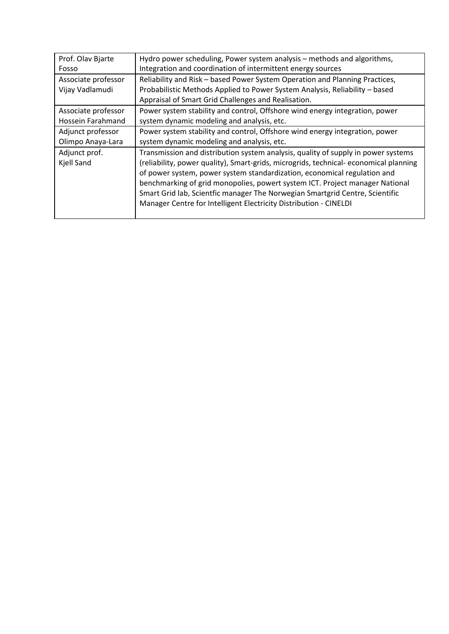| Prof. Olav Bjarte   | Hydro power scheduling, Power system analysis – methods and algorithms,              |
|---------------------|--------------------------------------------------------------------------------------|
| Fosso               | Integration and coordination of intermittent energy sources                          |
| Associate professor | Reliability and Risk - based Power System Operation and Planning Practices,          |
| Vijay Vadlamudi     | Probabilistic Methods Applied to Power System Analysis, Reliability - based          |
|                     | Appraisal of Smart Grid Challenges and Realisation.                                  |
| Associate professor | Power system stability and control, Offshore wind energy integration, power          |
| Hossein Farahmand   | system dynamic modeling and analysis, etc.                                           |
| Adjunct professor   | Power system stability and control, Offshore wind energy integration, power          |
| Olimpo Anaya-Lara   | system dynamic modeling and analysis, etc.                                           |
| Adjunct prof.       | Transmission and distribution system analysis, quality of supply in power systems    |
| Kjell Sand          | (reliability, power quality), Smart-grids, microgrids, technical-economical planning |
|                     | of power system, power system standardization, economical regulation and             |
|                     | benchmarking of grid monopolies, powert system ICT. Project manager National         |
|                     | Smart Grid lab, Scientfic manager The Norwegian Smartgrid Centre, Scientific         |
|                     | Manager Centre for Intelligent Electricity Distribution - CINELDI                    |
|                     |                                                                                      |